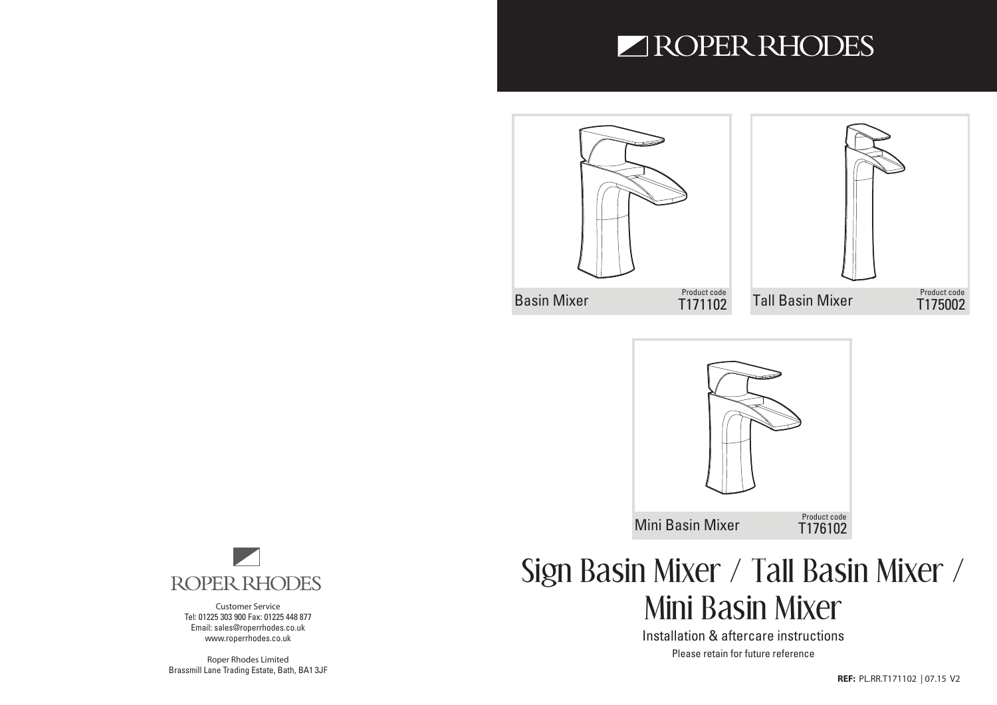## ROPER RHODES







**Customer Service** Tel: 01225 303 900 Fax: 01225 448 877 Email: sales@roperrhodes.co.uk www.roperrhodes.co.uk

**Roper Rhodes Limited** Brassmill Lane Trading Estate, Bath, BA1 3JF

# Sign Basin Mixer / Tall Basin Mixer / Mini Basin Mixer

Installation & aftercare instructions Please retain for future reference